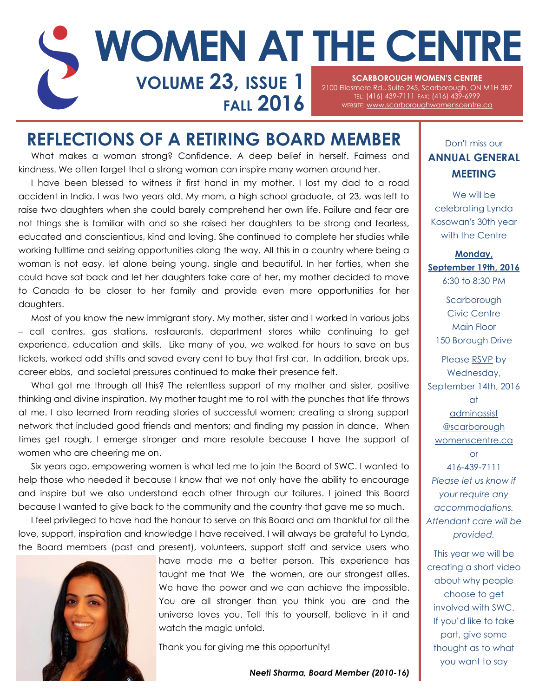### **SCARBOROUGH WOMEN'S CENTRE**  2100 Ellesmere Rd., Suite 245, Scarborough, ON M1H 3B7 TEL: (416) 439-7111 FAX: (416) 439-6999 **FALL 2016** WEBSITE: WWW.scarboroughwomenscentre.ca **VOLUME 23, ISSUE 1 WOMEN AT THE CENTRE**

## **REFLECTIONS OF A RETIRING BOARD MEMBER**

What makes a woman strong? Confidence. A deep belief in herself. Fairness and kindness. We often forget that a strong woman can inspire many women around her.

I have been blessed to witness it first hand in my mother. I lost my dad to a road accident in India. I was two years old. My mom, a high school graduate, at 23, was left to raise two daughters when she could barely comprehend her own life. Failure and fear are not things she is familiar with and so she raised her daughters to be strong and fearless, educated and conscientious, kind and loving. She continued to complete her studies while working fulltime and seizing opportunities along the way. All this in a country where being a woman is not easy, let alone being young, single and beautiful. In her forties, when she could have sat back and let her daughters take care of her, my mother decided to move to Canada to be closer to her family and provide even more opportunities for her daughters.

Most of you know the new immigrant story. My mother, sister and I worked in various jobs – call centres, gas stations, restaurants, department stores while continuing to get experience, education and skills. Like many of you, we walked for hours to save on bus tickets, worked odd shifts and saved every cent to buy that first car. In addition, break ups, career ebbs, and societal pressures continued to make their presence felt.

What got me through all this? The relentless support of my mother and sister, positive thinking and divine inspiration. My mother taught me to roll with the punches that life throws at me. I also learned from reading stories of successful women; creating a strong support network that included good friends and mentors; and finding my passion in dance. When times get rough, I emerge stronger and more resolute because I have the support of women who are cheering me on.

Six years ago, empowering women is what led me to join the Board of SWC. I wanted to help those who needed it because I know that we not only have the ability to encourage and inspire but we also understand each other through our failures. I joined this Board because I wanted to give back to the community and the country that gave me so much.

I feel privileged to have had the honour to serve on this Board and am thankful for all the love, support, inspiration and knowledge I have received. I will always be grateful to Lynda, the Board members (past and present), volunteers, support staff and service users who



have made me a better person. This experience has taught me that We the women, are our strongest allies. We have the power and we can achieve the impossible. You are all stronger than you think you are and the universe loves you. Tell this to yourself, believe in it and watch the magic unfold.

Thank you for giving me this opportunity!

*Neeti Sharma, Board Member (2010-16)*

### Don't miss our **ANNUAL GENERAL MEETING**

We will be celebrating Lynda Kosowan's 30th year with the Centre

**Monday, September 19th, 2016** 6:30 to 8:30 PM

**Scarborough** Civic Centre Main Floor 150 Borough Drive

Please RSVP by Wednesday, September 14th, 2016 at [adminassist](mailto:adminassist@scarboroughwomenscentre.ca?subject=AGM%20RSVP) [@scarborough](mailto:adminassist@scarboroughwomenscentre.ca?subject=AGM%20RSVP) [womenscentre.ca](mailto:adminassist@scarboroughwomenscentre.ca?subject=AGM%20RSVP) or 416-439-7111 *Please let us know if your require any accommodations. Attendant care will be provided.*

This year we will be creating a short video about why people choose to get involved with SWC. If you'd like to take part, give some thought as to what you want to say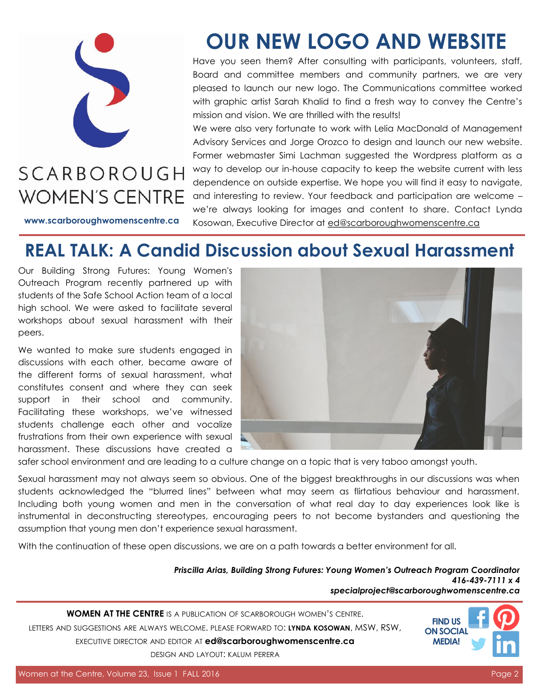

# **SCARBOROUGH WOMEN'S CENTRE**

**[www.scarboroughwomenscentre.ca](http://www.scarboroughwomenscentre.ca)**

# **OUR NEW LOGO AND WEBSITE**

Have you seen them? After consulting with participants, volunteers, staff, Board and committee members and community partners, we are very pleased to launch our new logo. The Communications committee worked with graphic artist Sarah Khalid to find a fresh way to convey the Centre's mission and vision. We are thrilled with the results!

We were also very fortunate to work with Lelia MacDonald of Management Advisory Services and Jorge Orozco to design and launch our new website. Former webmaster Simi Lachman suggested the Wordpress platform as a way to develop our in-house capacity to keep the website current with less dependence on outside expertise. We hope you will find it easy to navigate, and interesting to review. Your feedback and participation are welcome – we're always looking for images and content to share. Contact Lynda Kosowan, Executive Director at [ed@scarboroughwomenscentre.ca](mailto:ed@scarboroughwomenscentre.ca)

# **REAL TALK: A Candid Discussion about Sexual Harassment**

Our Building Strong Futures: Young Women's Outreach Program recently partnered up with students of the Safe School Action team of a local high school. We were asked to facilitate several workshops about sexual harassment with their peers.

We wanted to make sure students engaged in discussions with each other, became aware of the different forms of sexual harassment, what constitutes consent and where they can seek support in their school and community. Facilitating these workshops, we've witnessed students challenge each other and vocalize frustrations from their own experience with sexual harassment. These discussions have created a



safer school environment and are leading to a culture change on a topic that is very taboo amongst youth.

Sexual harassment may not always seem so obvious. One of the biggest breakthroughs in our discussions was when students acknowledged the "blurred lines" between what may seem as flirtatious behaviour and harassment. Including both young women and men in the conversation of what real day to day experiences look like is instrumental in deconstructing stereotypes, encouraging peers to not become bystanders and questioning the assumption that young men don't experience sexual harassment.

With the continuation of these open discussions, we are on a path towards a better environment for all.

*Priscilla Arias, Building Strong Futures: Young Women's Outreach Program Coordinator 416-439-7111 x 4 [specialproject@scarboroughwomenscentre.ca](mailto:specialproject@scarboroughwomenscentre.ca)*

**WOMEN AT THE CENTRE** IS A PUBLICATION OF SCARBOROUGH WOMEN'S CENTRE. LETTERS AND SUGGESTIONS ARE ALWAYS WELCOME. PLEASE FORWARD TO: **LYNDA KOSOWAN**, MSW, RSW, EXECUTIVE DIRECTOR AND EDITOR AT **[ed@scarboroughwomenscentre.ca](mailto:ed@scarboroughwomenscentre.ca)**  DESIGN AND LAYOUT: KALUM PERERA

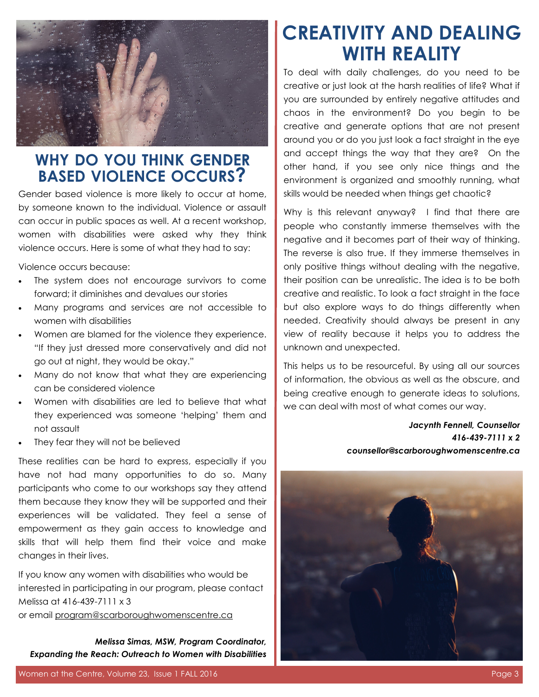

### **WHY DO YOU THINK GENDER BASED VIOLENCE OCCURS?**

Gender based violence is more likely to occur at home, by someone known to the individual. Violence or assault can occur in public spaces as well. At a recent workshop, women with disabilities were asked why they think violence occurs. Here is some of what they had to say:

Violence occurs because:

- The system does not encourage survivors to come forward; it diminishes and devalues our stories
- Many programs and services are not accessible to women with disabilities
- Women are blamed for the violence they experience. "If they just dressed more conservatively and did not go out at night, they would be okay."
- Many do not know that what they are experiencing can be considered violence
- Women with disabilities are led to believe that what they experienced was someone 'helping' them and not assault
- They fear they will not be believed

These realities can be hard to express, especially if you have not had many opportunities to do so. Many participants who come to our workshops say they attend them because they know they will be supported and their experiences will be validated. They feel a sense of empowerment as they gain access to knowledge and skills that will help them find their voice and make changes in their lives.

If you know any women with disabilities who would be interested in participating in our program, please contact Melissa at 416-439-7111 x 3

or email [program@scarboroughwomenscentre.ca](mailto:program@scarboroughwomenscentre.ca)

*Melissa Simas, MSW, Program Coordinator, Expanding the Reach: Outreach to Women with Disabilities* 

# **CREATIVITY AND DEALING WITH REALITY**

To deal with daily challenges, do you need to be creative or just look at the harsh realities of life? What if you are surrounded by entirely negative attitudes and chaos in the environment? Do you begin to be creative and generate options that are not present around you or do you just look a fact straight in the eye and accept things the way that they are? On the other hand, if you see only nice things and the environment is organized and smoothly running, what skills would be needed when things get chaotic?

Why is this relevant anyway? I find that there are people who constantly immerse themselves with the negative and it becomes part of their way of thinking. The reverse is also true. If they immerse themselves in only positive things without dealing with the negative, their position can be unrealistic. The idea is to be both creative and realistic. To look a fact straight in the face but also explore ways to do things differently when needed. Creativity should always be present in any view of reality because it helps you to address the unknown and unexpected.

This helps us to be resourceful. By using all our sources of information, the obvious as well as the obscure, and being creative enough to generate ideas to solutions, we can deal with most of what comes our way.

> *Jacynth Fennell, Counsellor 416-439-7111 x 2 [counsellor@scarboroughwomenscentre.ca](mailto:counsellor@scarboroughwomenscentre.ca)*